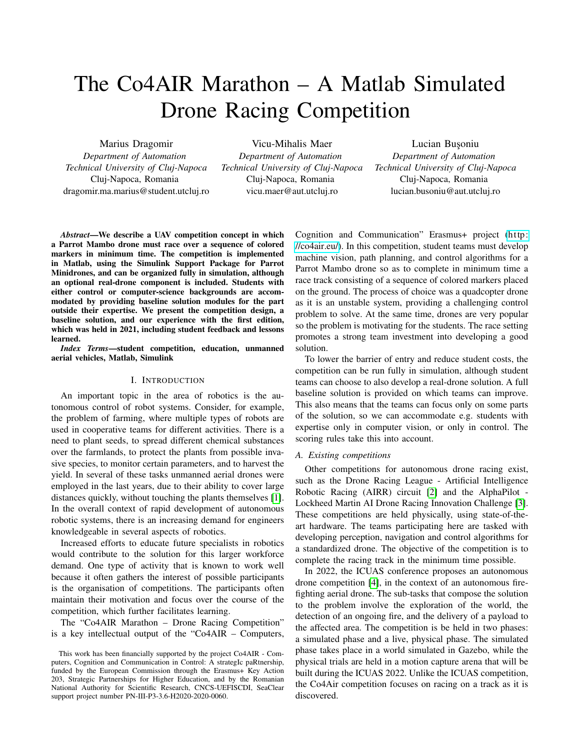# The Co4AIR Marathon – A Matlab Simulated Drone Racing Competition

Marius Dragomir

*Department of Automation Technical University of Cluj-Napoca* Cluj-Napoca, Romania dragomir.ma.marius@student.utcluj.ro

Vicu-Mihalis Maer *Department of Automation Technical University of Cluj-Napoca* Cluj-Napoca, Romania vicu.maer@aut.utcluj.ro

Lucian Busoniu *Department of Automation Technical University of Cluj-Napoca* Cluj-Napoca, Romania lucian.busoniu@aut.utcluj.ro

*Abstract*—We describe a UAV competition concept in which a Parrot Mambo drone must race over a sequence of colored markers in minimum time. The competition is implemented in Matlab, using the Simulink Support Package for Parrot Minidrones, and can be organized fully in simulation, although an optional real-drone component is included. Students with either control or computer-science backgrounds are accommodated by providing baseline solution modules for the part outside their expertise. We present the competition design, a baseline solution, and our experience with the first edition, which was held in 2021, including student feedback and lessons learned.

*Index Terms*—student competition, education, unmanned aerial vehicles, Matlab, Simulink

## I. INTRODUCTION

An important topic in the area of robotics is the autonomous control of robot systems. Consider, for example, the problem of farming, where multiple types of robots are used in cooperative teams for different activities. There is a need to plant seeds, to spread different chemical substances over the farmlands, to protect the plants from possible invasive species, to monitor certain parameters, and to harvest the yield. In several of these tasks unmanned aerial drones were employed in the last years, due to their ability to cover large distances quickly, without touching the plants themselves [\[1\]](#page-7-0). In the overall context of rapid development of autonomous robotic systems, there is an increasing demand for engineers knowledgeable in several aspects of robotics.

Increased efforts to educate future specialists in robotics would contribute to the solution for this larger workforce demand. One type of activity that is known to work well because it often gathers the interest of possible participants is the organisation of competitions. The participants often maintain their motivation and focus over the course of the competition, which further facilitates learning.

The "Co4AIR Marathon – Drone Racing Competition" is a key intellectual output of the "Co4AIR – Computers, Cognition and Communication" Erasmus+ project [\(http:](http://co4air.eu/) [//co4air.eu/\)](http://co4air.eu/). In this competition, student teams must develop machine vision, path planning, and control algorithms for a Parrot Mambo drone so as to complete in minimum time a race track consisting of a sequence of colored markers placed on the ground. The process of choice was a quadcopter drone as it is an unstable system, providing a challenging control problem to solve. At the same time, drones are very popular so the problem is motivating for the students. The race setting promotes a strong team investment into developing a good solution.

To lower the barrier of entry and reduce student costs, the competition can be run fully in simulation, although student teams can choose to also develop a real-drone solution. A full baseline solution is provided on which teams can improve. This also means that the teams can focus only on some parts of the solution, so we can accommodate e.g. students with expertise only in computer vision, or only in control. The scoring rules take this into account.

## *A. Existing competitions*

Other competitions for autonomous drone racing exist, such as the Drone Racing League - Artificial Intelligence Robotic Racing (AIRR) circuit [\[2\]](#page-7-1) and the AlphaPilot - Lockheed Martin AI Drone Racing Innovation Challenge [\[3\]](#page-7-2). These competitions are held physically, using state-of-theart hardware. The teams participating here are tasked with developing perception, navigation and control algorithms for a standardized drone. The objective of the competition is to complete the racing track in the minimum time possible.

In 2022, the ICUAS conference proposes an autonomous drone competition [\[4\]](#page-7-3), in the context of an autonomous firefighting aerial drone. The sub-tasks that compose the solution to the problem involve the exploration of the world, the detection of an ongoing fire, and the delivery of a payload to the affected area. The competition is be held in two phases: a simulated phase and a live, physical phase. The simulated phase takes place in a world simulated in Gazebo, while the physical trials are held in a motion capture arena that will be built during the ICUAS 2022. Unlike the ICUAS competition, the Co4Air competition focuses on racing on a track as it is discovered.

This work has been financially supported by the project Co4AIR - Computers, Cognition and Communication in Control: A strategIc paRtnership, funded by the European Commission through the Erasmus+ Key Action 203, Strategic Partnerships for Higher Education, and by the Romanian National Authority for Scientific Research, CNCS-UEFISCDI, SeaClear support project number PN-III-P3-3.6-H2020-2020-0060.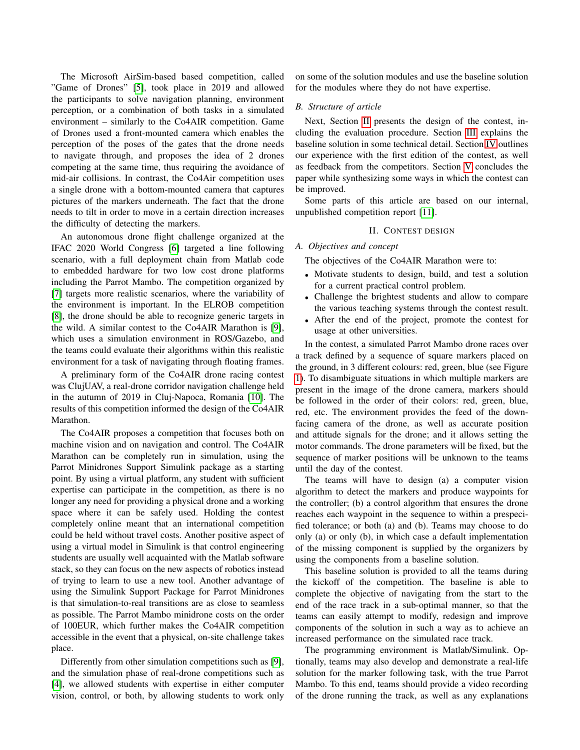The Microsoft AirSim-based based competition, called "Game of Drones" [\[5\]](#page-7-4), took place in 2019 and allowed the participants to solve navigation planning, environment perception, or a combination of both tasks in a simulated environment – similarly to the Co4AIR competition. Game of Drones used a front-mounted camera which enables the perception of the poses of the gates that the drone needs to navigate through, and proposes the idea of 2 drones competing at the same time, thus requiring the avoidance of mid-air collisions. In contrast, the Co4Air competition uses a single drone with a bottom-mounted camera that captures pictures of the markers underneath. The fact that the drone needs to tilt in order to move in a certain direction increases the difficulty of detecting the markers.

An autonomous drone flight challenge organized at the IFAC 2020 World Congress [\[6\]](#page-7-5) targeted a line following scenario, with a full deployment chain from Matlab code to embedded hardware for two low cost drone platforms including the Parrot Mambo. The competition organized by [\[7\]](#page-7-6) targets more realistic scenarios, where the variability of the environment is important. In the ELROB competition [\[8\]](#page-7-7), the drone should be able to recognize generic targets in the wild. A similar contest to the Co4AIR Marathon is [\[9\]](#page-7-8), which uses a simulation environment in ROS/Gazebo, and the teams could evaluate their algorithms within this realistic environment for a task of navigating through floating frames.

A preliminary form of the Co4AIR drone racing contest was ClujUAV, a real-drone corridor navigation challenge held in the autumn of 2019 in Cluj-Napoca, Romania [\[10\]](#page-7-9). The results of this competition informed the design of the Co4AIR Marathon.

The Co4AIR proposes a competition that focuses both on machine vision and on navigation and control. The Co4AIR Marathon can be completely run in simulation, using the Parrot Minidrones Support Simulink package as a starting point. By using a virtual platform, any student with sufficient expertise can participate in the competition, as there is no longer any need for providing a physical drone and a working space where it can be safely used. Holding the contest completely online meant that an international competition could be held without travel costs. Another positive aspect of using a virtual model in Simulink is that control engineering students are usually well acquainted with the Matlab software stack, so they can focus on the new aspects of robotics instead of trying to learn to use a new tool. Another advantage of using the Simulink Support Package for Parrot Minidrones is that simulation-to-real transitions are as close to seamless as possible. The Parrot Mambo minidrone costs on the order of 100EUR, which further makes the Co4AIR competition accessible in the event that a physical, on-site challenge takes place.

Differently from other simulation competitions such as [\[9\]](#page-7-8), and the simulation phase of real-drone competitions such as [\[4\]](#page-7-3), we allowed students with expertise in either computer vision, control, or both, by allowing students to work only on some of the solution modules and use the baseline solution for the modules where they do not have expertise.

#### *B. Structure of article*

Next, Section [II](#page-1-0) presents the design of the contest, including the evaluation procedure. Section [III](#page-3-0) explains the baseline solution in some technical detail. Section [IV](#page-5-0) outlines our experience with the first edition of the contest, as well as feedback from the competitors. Section [V](#page-6-0) concludes the paper while synthesizing some ways in which the contest can be improved.

Some parts of this article are based on our internal, unpublished competition report [\[11\]](#page-7-10).

#### II. CONTEST DESIGN

#### <span id="page-1-0"></span>*A. Objectives and concept*

The objectives of the Co4AIR Marathon were to:

- Motivate students to design, build, and test a solution for a current practical control problem.
- Challenge the brightest students and allow to compare the various teaching systems through the contest result.
- After the end of the project, promote the contest for usage at other universities.

In the contest, a simulated Parrot Mambo drone races over a track defined by a sequence of square markers placed on the ground, in 3 different colours: red, green, blue (see Figure [1\)](#page-2-0). To disambiguate situations in which multiple markers are present in the image of the drone camera, markers should be followed in the order of their colors: red, green, blue, red, etc. The environment provides the feed of the downfacing camera of the drone, as well as accurate position and attitude signals for the drone; and it allows setting the motor commands. The drone parameters will be fixed, but the sequence of marker positions will be unknown to the teams until the day of the contest.

The teams will have to design (a) a computer vision algorithm to detect the markers and produce waypoints for the controller; (b) a control algorithm that ensures the drone reaches each waypoint in the sequence to within a prespecified tolerance; or both (a) and (b). Teams may choose to do only (a) or only (b), in which case a default implementation of the missing component is supplied by the organizers by using the components from a baseline solution.

This baseline solution is provided to all the teams during the kickoff of the competition. The baseline is able to complete the objective of navigating from the start to the end of the race track in a sub-optimal manner, so that the teams can easily attempt to modify, redesign and improve components of the solution in such a way as to achieve an increased performance on the simulated race track.

The programming environment is Matlab/Simulink. Optionally, teams may also develop and demonstrate a real-life solution for the marker following task, with the true Parrot Mambo. To this end, teams should provide a video recording of the drone running the track, as well as any explanations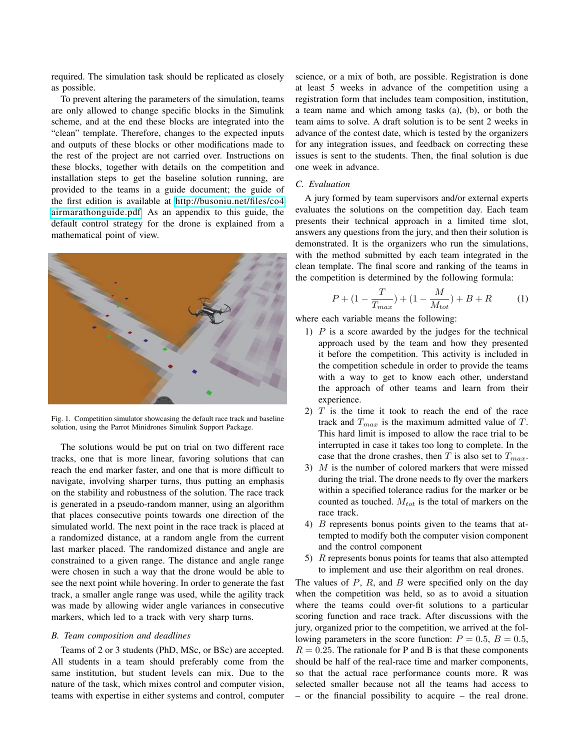required. The simulation task should be replicated as closely as possible.

To prevent altering the parameters of the simulation, teams are only allowed to change specific blocks in the Simulink scheme, and at the end these blocks are integrated into the "clean" template. Therefore, changes to the expected inputs and outputs of these blocks or other modifications made to the rest of the project are not carried over. Instructions on these blocks, together with details on the competition and installation steps to get the baseline solution running, are provided to the teams in a guide document; the guide of the first edition is available at [http://busoniu.net/files/co4](http://busoniu.net/files/co4airmarathonguide.pdf) [airmarathonguide.pdf.](http://busoniu.net/files/co4airmarathonguide.pdf) As an appendix to this guide, the default control strategy for the drone is explained from a mathematical point of view.



<span id="page-2-0"></span>Fig. 1. Competition simulator showcasing the default race track and baseline solution, using the Parrot Minidrones Simulink Support Package.

The solutions would be put on trial on two different race tracks, one that is more linear, favoring solutions that can reach the end marker faster, and one that is more difficult to navigate, involving sharper turns, thus putting an emphasis on the stability and robustness of the solution. The race track is generated in a pseudo-random manner, using an algorithm that places consecutive points towards one direction of the simulated world. The next point in the race track is placed at a randomized distance, at a random angle from the current last marker placed. The randomized distance and angle are constrained to a given range. The distance and angle range were chosen in such a way that the drone would be able to see the next point while hovering. In order to generate the fast track, a smaller angle range was used, while the agility track was made by allowing wider angle variances in consecutive markers, which led to a track with very sharp turns.

## *B. Team composition and deadlines*

Teams of 2 or 3 students (PhD, MSc, or BSc) are accepted. All students in a team should preferably come from the same institution, but student levels can mix. Due to the nature of the task, which mixes control and computer vision, teams with expertise in either systems and control, computer science, or a mix of both, are possible. Registration is done at least 5 weeks in advance of the competition using a registration form that includes team composition, institution, a team name and which among tasks (a), (b), or both the team aims to solve. A draft solution is to be sent 2 weeks in advance of the contest date, which is tested by the organizers for any integration issues, and feedback on correcting these issues is sent to the students. Then, the final solution is due one week in advance.

## *C. Evaluation*

A jury formed by team supervisors and/or external experts evaluates the solutions on the competition day. Each team presents their technical approach in a limited time slot, answers any questions from the jury, and then their solution is demonstrated. It is the organizers who run the simulations, with the method submitted by each team integrated in the clean template. The final score and ranking of the teams in the competition is determined by the following formula:

$$
P + (1 - \frac{T}{T_{max}}) + (1 - \frac{M}{M_{tot}}) + B + R \tag{1}
$$

where each variable means the following:

- 1)  $P$  is a score awarded by the judges for the technical approach used by the team and how they presented it before the competition. This activity is included in the competition schedule in order to provide the teams with a way to get to know each other, understand the approach of other teams and learn from their experience.
- 2)  $T$  is the time it took to reach the end of the race track and  $T_{max}$  is the maximum admitted value of T. This hard limit is imposed to allow the race trial to be interrupted in case it takes too long to complete. In the case that the drone crashes, then T is also set to  $T_{max}$ .
- 3) M is the number of colored markers that were missed during the trial. The drone needs to fly over the markers within a specified tolerance radius for the marker or be counted as touched.  $M_{tot}$  is the total of markers on the race track.
- 4) B represents bonus points given to the teams that attempted to modify both the computer vision component and the control component
- 5) R represents bonus points for teams that also attempted to implement and use their algorithm on real drones.

The values of  $P$ ,  $R$ , and  $B$  were specified only on the day when the competition was held, so as to avoid a situation where the teams could over-fit solutions to a particular scoring function and race track. After discussions with the jury, organized prior to the competition, we arrived at the following parameters in the score function:  $P = 0.5$ ,  $B = 0.5$ ,  $R = 0.25$ . The rationale for P and B is that these components should be half of the real-race time and marker components, so that the actual race performance counts more. R was selected smaller because not all the teams had access to – or the financial possibility to acquire – the real drone.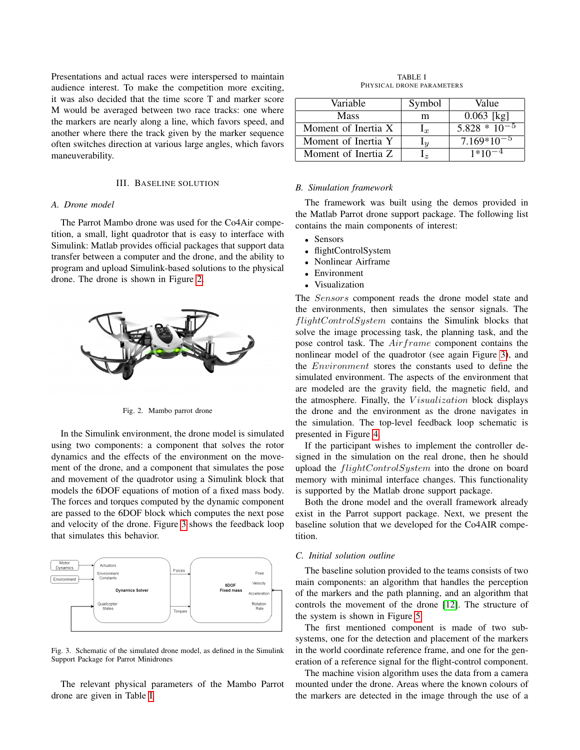Presentations and actual races were interspersed to maintain audience interest. To make the competition more exciting, it was also decided that the time score T and marker score M would be averaged between two race tracks: one where the markers are nearly along a line, which favors speed, and another where there the track given by the marker sequence often switches direction at various large angles, which favors maneuverability.

### III. BASELINE SOLUTION

## <span id="page-3-0"></span>*A. Drone model*

The Parrot Mambo drone was used for the Co4Air competition, a small, light quadrotor that is easy to interface with Simulink: Matlab provides official packages that support data transfer between a computer and the drone, and the ability to program and upload Simulink-based solutions to the physical drone. The drone is shown in Figure [2.](#page-3-1)



<span id="page-3-1"></span>Fig. 2. Mambo parrot drone

In the Simulink environment, the drone model is simulated using two components: a component that solves the rotor dynamics and the effects of the environment on the movement of the drone, and a component that simulates the pose and movement of the quadrotor using a Simulink block that models the 6DOF equations of motion of a fixed mass body. The forces and torques computed by the dynamic component are passed to the 6DOF block which computes the next pose and velocity of the drone. Figure [3](#page-3-2) shows the feedback loop that simulates this behavior.



<span id="page-3-2"></span>Fig. 3. Schematic of the simulated drone model, as defined in the Simulink Support Package for Parrot Minidrones

The relevant physical parameters of the Mambo Parrot drone are given in Table [I.](#page-3-3)

TABLE I PHYSICAL DRONE PARAMETERS

<span id="page-3-3"></span>

| Variable            | Symbol                        | Value                  |
|---------------------|-------------------------------|------------------------|
| <b>Mass</b>         | m                             | $0.063$ [kg]           |
| Moment of Inertia X | 1r                            | $5.828 \times 10^{-5}$ |
| Moment of Inertia Y | $\mathbf{u}_u$                | $7.169*10^{-5}$        |
| Moment of Inertia Z | $\mathsf{L}_{\boldsymbol{z}}$ | $1*10^{-4}$            |

#### *B. Simulation framework*

The framework was built using the demos provided in the Matlab Parrot drone support package. The following list contains the main components of interest:

- **Sensors**
- flightControlSystem
- Nonlinear Airframe
- Environment
- Visualization

The Sensors component reads the drone model state and the environments, then simulates the sensor signals. The flightControlSystem contains the Simulink blocks that solve the image processing task, the planning task, and the pose control task. The Airframe component contains the nonlinear model of the quadrotor (see again Figure [3\)](#page-3-2), and the Environment stores the constants used to define the simulated environment. The aspects of the environment that are modeled are the gravity field, the magnetic field, and the atmosphere. Finally, the *Visualization* block displays the drone and the environment as the drone navigates in the simulation. The top-level feedback loop schematic is presented in Figure [4.](#page-4-0)

If the participant wishes to implement the controller designed in the simulation on the real drone, then he should upload the flightControlSystem into the drone on board memory with minimal interface changes. This functionality is supported by the Matlab drone support package.

Both the drone model and the overall framework already exist in the Parrot support package. Next, we present the baseline solution that we developed for the Co4AIR competition.

## *C. Initial solution outline*

The baseline solution provided to the teams consists of two main components: an algorithm that handles the perception of the markers and the path planning, and an algorithm that controls the movement of the drone [\[12\]](#page-7-11). The structure of the system is shown in Figure [5.](#page-4-1)

The first mentioned component is made of two subsystems, one for the detection and placement of the markers in the world coordinate reference frame, and one for the generation of a reference signal for the flight-control component.

The machine vision algorithm uses the data from a camera mounted under the drone. Areas where the known colours of the markers are detected in the image through the use of a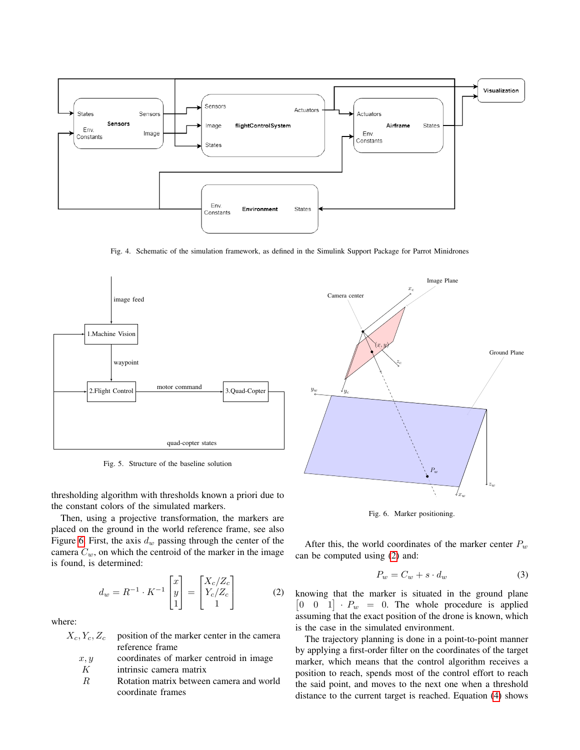

<span id="page-4-0"></span>Fig. 4. Schematic of the simulation framework, as defined in the Simulink Support Package for Parrot Minidrones



<span id="page-4-1"></span>Fig. 5. Structure of the baseline solution

thresholding algorithm with thresholds known a priori due to the constant colors of the simulated markers.

Then, using a projective transformation, the markers are placed on the ground in the world reference frame, see also Figure [6.](#page-4-2) First, the axis  $d_w$  passing through the center of the camera  $C_w$ , on which the centroid of the marker in the image is found, is determined:

<span id="page-4-3"></span>
$$
d_w = R^{-1} \cdot K^{-1} \begin{bmatrix} x \\ y \\ 1 \end{bmatrix} = \begin{bmatrix} X_c/Z_c \\ Y_c/Z_c \\ 1 \end{bmatrix}
$$
 (2)

where:

 $X_c, Y_c, Z_c$  position of the marker center in the camera reference frame

$$
x, y
$$
 coordinates of marker centroid in image

K intrinsic camera matrix

R Rotation matrix between camera and world coordinate frames



<span id="page-4-2"></span>Fig. 6. Marker positioning.

After this, the world coordinates of the marker center  $P_w$ can be computed using [\(2\)](#page-4-3) and:

$$
P_w = C_w + s \cdot d_w \tag{3}
$$

knowing that the marker is situated in the ground plane  $\begin{bmatrix} 0 & 0 & 1 \end{bmatrix}$  ·  $P_w$  = 0. The whole procedure is applied assuming that the exact position of the drone is known, which is the case in the simulated environment.

The trajectory planning is done in a point-to-point manner by applying a first-order filter on the coordinates of the target marker, which means that the control algorithm receives a position to reach, spends most of the control effort to reach the said point, and moves to the next one when a threshold distance to the current target is reached. Equation [\(4\)](#page-5-1) shows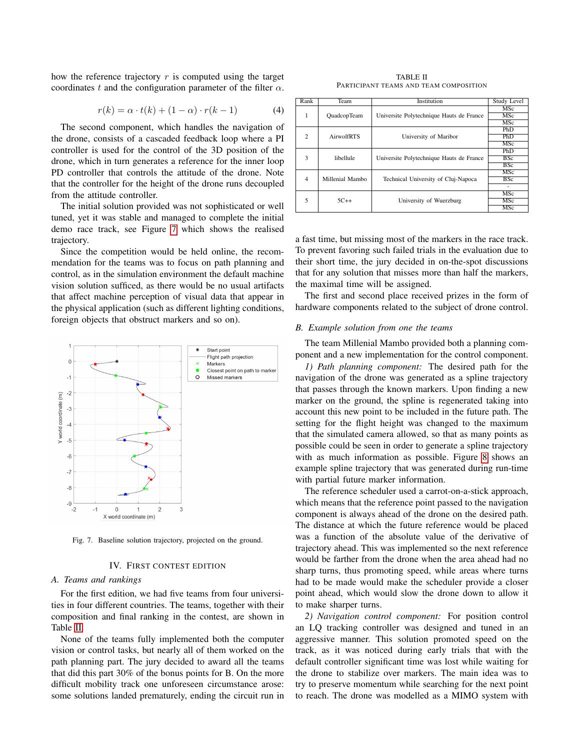how the reference trajectory  $r$  is computed using the target coordinates t and the configuration parameter of the filter  $\alpha$ .

<span id="page-5-1"></span>
$$
r(k) = \alpha \cdot t(k) + (1 - \alpha) \cdot r(k - 1) \tag{4}
$$

The second component, which handles the navigation of the drone, consists of a cascaded feedback loop where a PI controller is used for the control of the 3D position of the drone, which in turn generates a reference for the inner loop PD controller that controls the attitude of the drone. Note that the controller for the height of the drone runs decoupled from the attitude controller.

The initial solution provided was not sophisticated or well tuned, yet it was stable and managed to complete the initial demo race track, see Figure [7](#page-5-2) which shows the realised trajectory.

Since the competition would be held online, the recommendation for the teams was to focus on path planning and control, as in the simulation environment the default machine vision solution sufficed, as there would be no usual artifacts that affect machine perception of visual data that appear in the physical application (such as different lighting conditions, foreign objects that obstruct markers and so on).



<span id="page-5-2"></span>Fig. 7. Baseline solution trajectory, projected on the ground.

#### IV. FIRST CONTEST EDITION

#### <span id="page-5-0"></span>*A. Teams and rankings*

For the first edition, we had five teams from four universities in four different countries. The teams, together with their composition and final ranking in the contest, are shown in Table [II.](#page-5-3)

None of the teams fully implemented both the computer vision or control tasks, but nearly all of them worked on the path planning part. The jury decided to award all the teams that did this part 30% of the bonus points for B. On the more difficult mobility track one unforeseen circumstance arose: some solutions landed prematurely, ending the circuit run in

TABLE II PARTICIPANT TEAMS AND TEAM COMPOSITION

<span id="page-5-3"></span>

| Rank           | Team               | Institution                              | Study Level |
|----------------|--------------------|------------------------------------------|-------------|
| 1              | <b>QuadcopTeam</b> |                                          | MSc         |
|                |                    | Universite Polytechnique Hauts de France | MSc         |
|                |                    |                                          | MSc         |
| $\overline{c}$ |                    |                                          | PhD         |
|                | AirwolfRTS         | University of Maribor                    | PhD         |
|                |                    |                                          | MSc         |
| 3              | libellule          |                                          | PhD         |
|                |                    | Universite Polytechnique Hauts de France | <b>BSc</b>  |
|                |                    |                                          | <b>BSc</b>  |
| $\overline{4}$ | Millenial Mambo    |                                          | <b>MSc</b>  |
|                |                    | Technical University of Cluj-Napoca      | <b>BSc</b>  |
|                |                    |                                          |             |
| 5              | $5C++$             |                                          | <b>MSc</b>  |
|                |                    | University of Wuerzburg                  | MSc         |
|                |                    |                                          | MSc         |

a fast time, but missing most of the markers in the race track. To prevent favoring such failed trials in the evaluation due to their short time, the jury decided in on-the-spot discussions that for any solution that misses more than half the markers, the maximal time will be assigned.

The first and second place received prizes in the form of hardware components related to the subject of drone control.

#### *B. Example solution from one the teams*

The team Millenial Mambo provided both a planning component and a new implementation for the control component.

*1) Path planning component:* The desired path for the navigation of the drone was generated as a spline trajectory that passes through the known markers. Upon finding a new marker on the ground, the spline is regenerated taking into account this new point to be included in the future path. The setting for the flight height was changed to the maximum that the simulated camera allowed, so that as many points as possible could be seen in order to generate a spline trajectory with as much information as possible. Figure [8](#page-6-1) shows an example spline trajectory that was generated during run-time with partial future marker information.

The reference scheduler used a carrot-on-a-stick approach, which means that the reference point passed to the navigation component is always ahead of the drone on the desired path. The distance at which the future reference would be placed was a function of the absolute value of the derivative of trajectory ahead. This was implemented so the next reference would be farther from the drone when the area ahead had no sharp turns, thus promoting speed, while areas where turns had to be made would make the scheduler provide a closer point ahead, which would slow the drone down to allow it to make sharper turns.

*2) Navigation control component:* For position control an LQ tracking controller was designed and tuned in an aggressive manner. This solution promoted speed on the track, as it was noticed during early trials that with the default controller significant time was lost while waiting for the drone to stabilize over markers. The main idea was to try to preserve momentum while searching for the next point to reach. The drone was modelled as a MIMO system with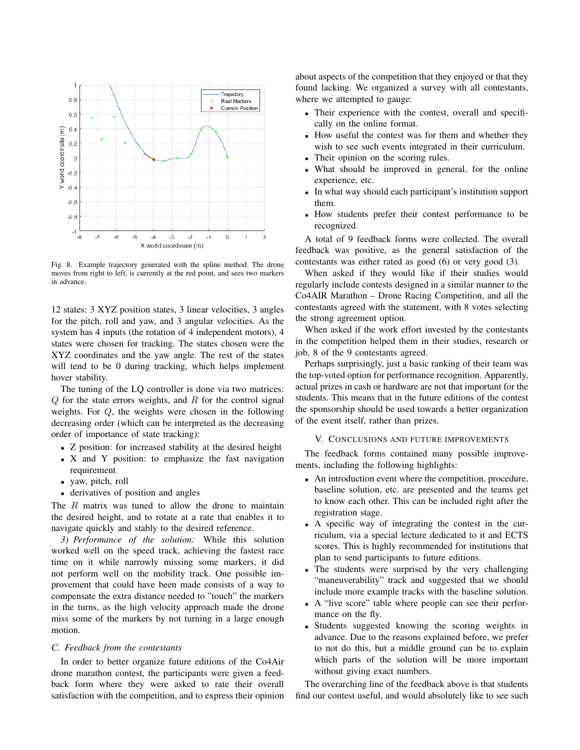

<span id="page-6-1"></span>Fig. 8. Example trajectory generated with the spline method. The drone moves from right to left, is currently at the red point, and sees two markers in advance.

12 states: 3 XYZ position states, 3 linear velocities, 3 angles for the pitch, roll and yaw, and 3 angular velocities. As the system has 4 inputs (the rotation of 4 independent motors), 4 states were chosen for tracking. The states chosen were the XYZ coordinates and the yaw angle. The rest of the states will tend to be 0 during tracking, which helps implement hover stability.

The tuning of the LQ controller is done via two matrices:  $Q$  for the state errors weights, and  $R$  for the control signal weights. For Q, the weights were chosen in the following decreasing order (which can be interpreted as the decreasing order of importance of state tracking):

- Z position: for increased stability at the desired height
- X and Y position: to emphasize the fast navigation requirement
- yaw, pitch, roll
- derivatives of position and angles

The  $R$  matrix was tuned to allow the drone to maintain the desired height, and to rotate at a rate that enables it to navigate quickly and stably to the desired reference.

*3) Performance of the solution:* While this solution worked well on the speed track, achieving the fastest race time on it while narrowly missing some markers, it did not perform well on the mobility track. One possible improvement that could have been made consists of a way to compensate the extra distance needed to "touch" the markers in the turns, as the high velocity approach made the drone miss some of the markers by not turning in a large enough motion.

## *C. Feedback from the contestants*

In order to better organize future editions of the Co4Air drone marathon contest, the participants were given a feedback form where they were asked to rate their overall satisfaction with the competition, and to express their opinion

about aspects of the competition that they enjoyed or that they found lacking. We organized a survey with all contestants, where we attempted to gauge:

- Their experience with the contest, overall and specifically on the online format.
- How useful the contest was for them and whether they wish to see such events integrated in their curriculum.
- Their opinion on the scoring rules.
- What should be improved in general, for the online experience, etc.
- In what way should each participant's institution support them.
- How students prefer their contest performance to be recognized.

A total of 9 feedback forms were collected. The overall feedback was positive, as the general satisfaction of the contestants was either rated as good (6) or very good (3).

When asked if they would like if their studies would regularly include contests designed in a similar manner to the Co4AIR Marathon – Drone Racing Competition, and all the contestants agreed with the statement, with 8 votes selecting the strong agreement option.

When asked if the work effort invested by the contestants in the competition helped them in their studies, research or job, 8 of the 9 contestants agreed.

Perhaps surprisingly, just a basic ranking of their team was the top-voted option for performance recognition. Apparently, actual prizes in cash or hardware are not that important for the students. This means that in the future editions of the contest the sponsorship should be used towards a better organization of the event itself, rather than prizes.

## V. CONCLUSIONS AND FUTURE IMPROVEMENTS

<span id="page-6-0"></span>The feedback forms contained many possible improvements, including the following highlights:

- An introduction event where the competition, procedure, baseline solution, etc. are presented and the teams get to know each other. This can be included right after the registration stage.
- A specific way of integrating the contest in the curriculum, via a special lecture dedicated to it and ECTS scores. This is highly recommended for institutions that plan to send participants to future editions.
- The students were surprised by the very challenging "maneuverability" track and suggested that we should include more example tracks with the baseline solution.
- A "live score" table where people can see their performance on the fly.
- Students suggested knowing the scoring weights in advance. Due to the reasons explained before, we prefer to not do this, but a middle ground can be to explain which parts of the solution will be more important without giving exact numbers.

The overarching line of the feedback above is that students find our contest useful, and would absolutely like to see such